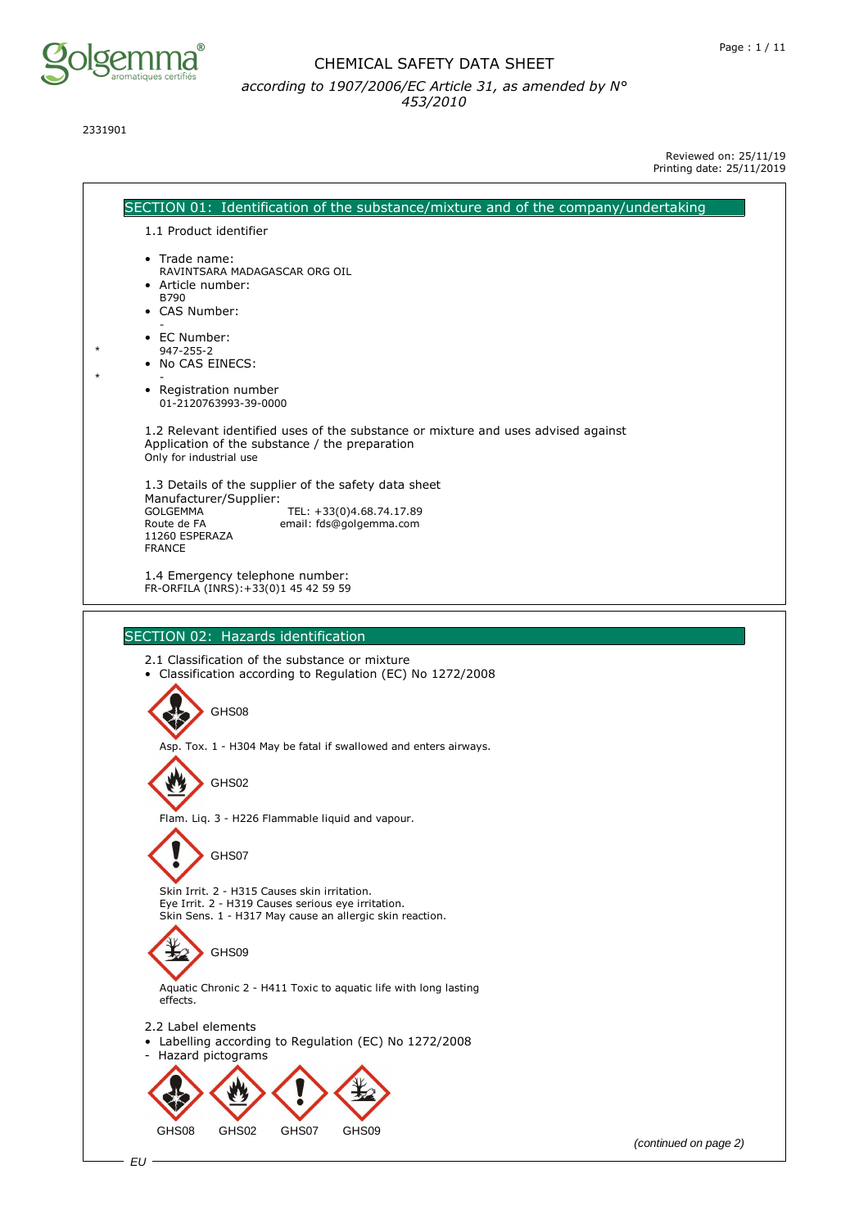

2331901

Reviewed on: 25/11/19 Printing date: 25/11/2019

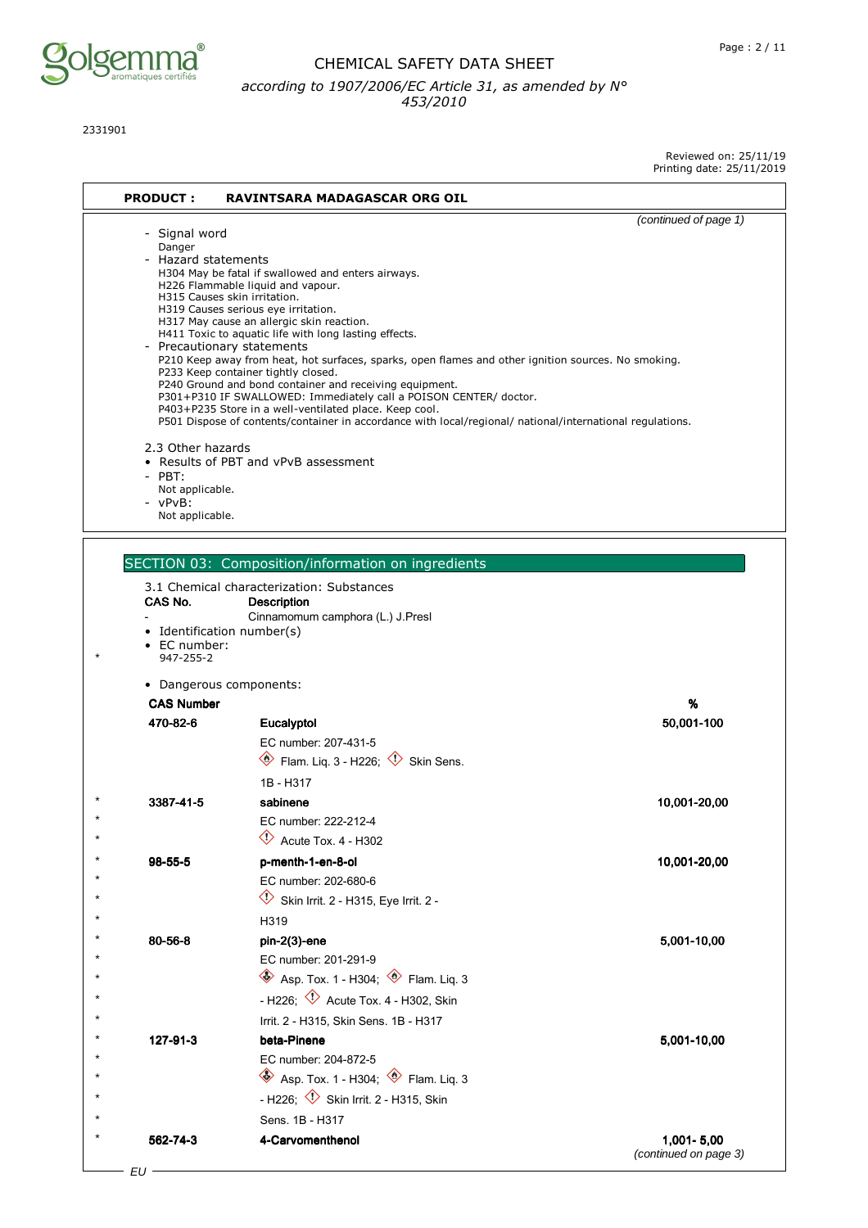

2331901

Reviewed on: 25/11/19

|                           |  | Reviewed OII: 23/11/19 |
|---------------------------|--|------------------------|
| Printing date: 25/11/2019 |  |                        |

| <b>PRODUCT:</b>                                                                                              | <b>RAVINTSARA MADAGASCAR ORG OIL</b>                                                                                                                                                                                                                                                                                                                                                                                                                                                                                                                                                                                                                                                      |                       |
|--------------------------------------------------------------------------------------------------------------|-------------------------------------------------------------------------------------------------------------------------------------------------------------------------------------------------------------------------------------------------------------------------------------------------------------------------------------------------------------------------------------------------------------------------------------------------------------------------------------------------------------------------------------------------------------------------------------------------------------------------------------------------------------------------------------------|-----------------------|
|                                                                                                              |                                                                                                                                                                                                                                                                                                                                                                                                                                                                                                                                                                                                                                                                                           | (continued of page 1) |
| - Signal word<br>Danger<br>- Hazard statements<br>H315 Causes skin irritation.<br>- Precautionary statements | H304 May be fatal if swallowed and enters airways.<br>H226 Flammable liquid and vapour.<br>H319 Causes serious eye irritation.<br>H317 May cause an allergic skin reaction.<br>H411 Toxic to aquatic life with long lasting effects.<br>P210 Keep away from heat, hot surfaces, sparks, open flames and other ignition sources. No smoking.<br>P233 Keep container tightly closed.<br>P240 Ground and bond container and receiving equipment.<br>P301+P310 IF SWALLOWED: Immediately call a POISON CENTER/ doctor.<br>P403+P235 Store in a well-ventilated place. Keep cool.<br>P501 Dispose of contents/container in accordance with local/regional/ national/international regulations. |                       |
| 2.3 Other hazards<br>$-$ PBT:<br>Not applicable.<br>- vPvB:<br>Not applicable.                               | • Results of PBT and vPvB assessment                                                                                                                                                                                                                                                                                                                                                                                                                                                                                                                                                                                                                                                      |                       |
|                                                                                                              |                                                                                                                                                                                                                                                                                                                                                                                                                                                                                                                                                                                                                                                                                           |                       |
|                                                                                                              | SECTION 03: Composition/information on ingredients                                                                                                                                                                                                                                                                                                                                                                                                                                                                                                                                                                                                                                        |                       |
| CAS No.                                                                                                      | 3.1 Chemical characterization: Substances<br><b>Description</b><br>Cinnamomum camphora (L.) J.Presl                                                                                                                                                                                                                                                                                                                                                                                                                                                                                                                                                                                       |                       |
| • Identification number(s)<br>• EC number:<br>947-255-2                                                      |                                                                                                                                                                                                                                                                                                                                                                                                                                                                                                                                                                                                                                                                                           |                       |
| • Dangerous components:                                                                                      |                                                                                                                                                                                                                                                                                                                                                                                                                                                                                                                                                                                                                                                                                           |                       |
| <b>CAS Number</b>                                                                                            |                                                                                                                                                                                                                                                                                                                                                                                                                                                                                                                                                                                                                                                                                           | %                     |
| 470-82-6                                                                                                     | Eucalyptol                                                                                                                                                                                                                                                                                                                                                                                                                                                                                                                                                                                                                                                                                | 50,001-100            |
|                                                                                                              | EC number: 207-431-5                                                                                                                                                                                                                                                                                                                                                                                                                                                                                                                                                                                                                                                                      |                       |
|                                                                                                              | $\circledast$ Flam. Liq. 3 - H226; $\circledast$ Skin Sens.                                                                                                                                                                                                                                                                                                                                                                                                                                                                                                                                                                                                                               |                       |
|                                                                                                              | 1B - H317                                                                                                                                                                                                                                                                                                                                                                                                                                                                                                                                                                                                                                                                                 |                       |
| 3387-41-5                                                                                                    | sabinene                                                                                                                                                                                                                                                                                                                                                                                                                                                                                                                                                                                                                                                                                  | 10,001-20,00          |
|                                                                                                              | EC number: 222-212-4                                                                                                                                                                                                                                                                                                                                                                                                                                                                                                                                                                                                                                                                      |                       |
|                                                                                                              | $\Diamond$ Acute Tox. 4 - H302                                                                                                                                                                                                                                                                                                                                                                                                                                                                                                                                                                                                                                                            |                       |
| $98 - 55 - 5$                                                                                                | p-menth-1-en-8-ol                                                                                                                                                                                                                                                                                                                                                                                                                                                                                                                                                                                                                                                                         | 10,001-20,00          |
|                                                                                                              | EC number: 202-680-6                                                                                                                                                                                                                                                                                                                                                                                                                                                                                                                                                                                                                                                                      |                       |
|                                                                                                              | $\Diamond$ Skin Irrit. 2 - H315, Eye Irrit. 2 -                                                                                                                                                                                                                                                                                                                                                                                                                                                                                                                                                                                                                                           |                       |
|                                                                                                              | H319                                                                                                                                                                                                                                                                                                                                                                                                                                                                                                                                                                                                                                                                                      |                       |
| 80-56-8                                                                                                      | $pin-2(3)$ -ene                                                                                                                                                                                                                                                                                                                                                                                                                                                                                                                                                                                                                                                                           | 5,001-10,00           |
|                                                                                                              | EC number: 201-291-9                                                                                                                                                                                                                                                                                                                                                                                                                                                                                                                                                                                                                                                                      |                       |
|                                                                                                              | $\leftrightarrow$ Asp. Tox. 1 - H304; $\leftrightarrow$ Flam. Liq. 3                                                                                                                                                                                                                                                                                                                                                                                                                                                                                                                                                                                                                      |                       |
|                                                                                                              | - H226; $\overline{\diamond}$ Acute Tox. 4 - H302, Skin                                                                                                                                                                                                                                                                                                                                                                                                                                                                                                                                                                                                                                   |                       |
|                                                                                                              | Irrit. 2 - H315, Skin Sens. 1B - H317                                                                                                                                                                                                                                                                                                                                                                                                                                                                                                                                                                                                                                                     |                       |
| 127-91-3                                                                                                     | beta-Pinene                                                                                                                                                                                                                                                                                                                                                                                                                                                                                                                                                                                                                                                                               | 5,001-10,00           |
|                                                                                                              | EC number: 204-872-5                                                                                                                                                                                                                                                                                                                                                                                                                                                                                                                                                                                                                                                                      |                       |
|                                                                                                              | $\iff$ Asp. Tox. 1 - H304; $\iff$ Flam. Liq. 3                                                                                                                                                                                                                                                                                                                                                                                                                                                                                                                                                                                                                                            |                       |
|                                                                                                              | - H226; <sup>1</sup> Skin Irrit. 2 - H315, Skin                                                                                                                                                                                                                                                                                                                                                                                                                                                                                                                                                                                                                                           |                       |
|                                                                                                              | Sens. 1B - H317                                                                                                                                                                                                                                                                                                                                                                                                                                                                                                                                                                                                                                                                           |                       |
| 562-74-3                                                                                                     | 4-Carvomenthenol                                                                                                                                                                                                                                                                                                                                                                                                                                                                                                                                                                                                                                                                          | 1,001-5,00            |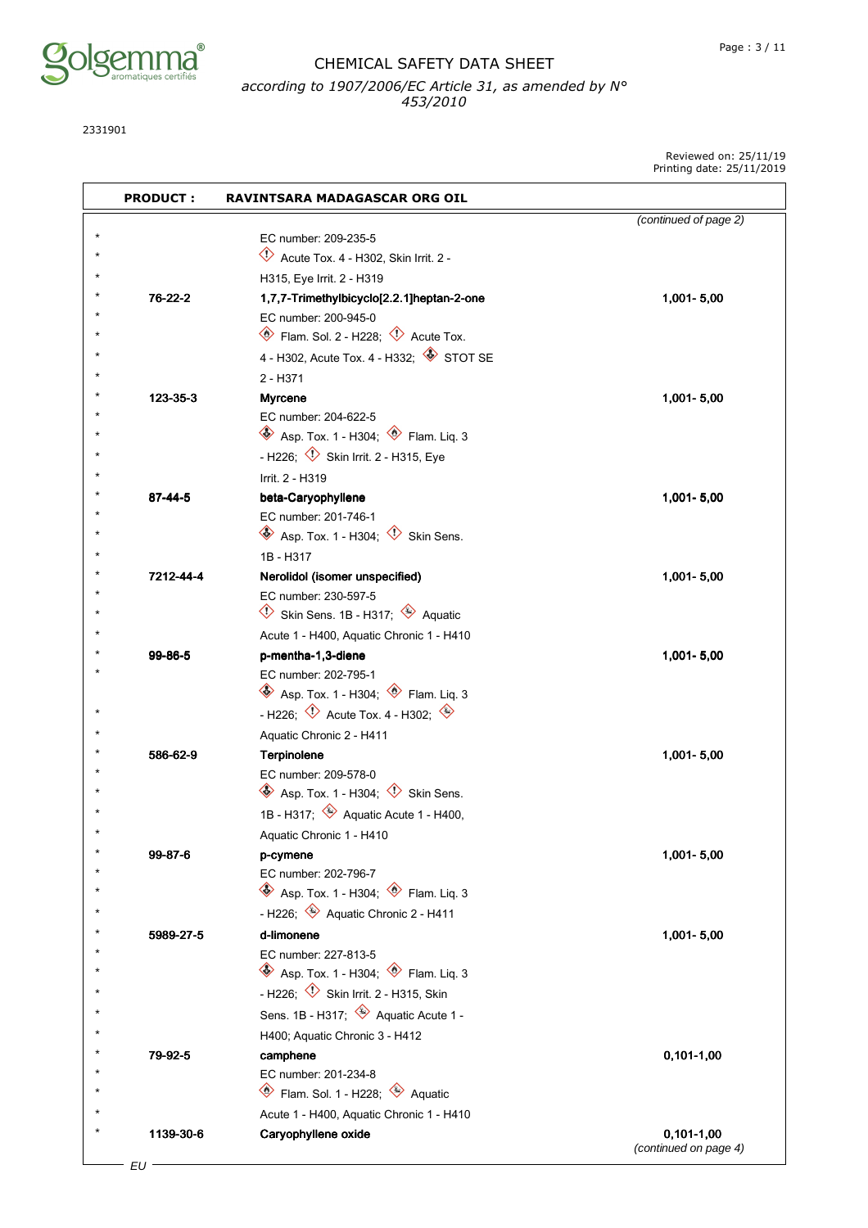

2331901

Reviewed on: 25/11/19 Printing date: 25/11/2019

| <b>PRODUCT:</b> | RAVINTSARA MADAGASCAR ORG OIL                                                                  |                       |
|-----------------|------------------------------------------------------------------------------------------------|-----------------------|
|                 |                                                                                                | (continued of page 2) |
|                 | EC number: 209-235-5                                                                           |                       |
|                 | $\Diamond$ Acute Tox. 4 - H302, Skin Irrit. 2 -                                                |                       |
|                 | H315, Eye Irrit. 2 - H319                                                                      |                       |
| 76-22-2         | 1,7,7-Trimethylbicyclo[2.2.1]heptan-2-one                                                      | 1,001-5,00            |
|                 | EC number: 200-945-0                                                                           |                       |
|                 | Flam. Sol. 2 - H228; $\Diamond$ Acute Tox.                                                     |                       |
|                 | 4 - H302, Acute Tox. 4 - H332; STOT SE                                                         |                       |
|                 | 2 - H371                                                                                       |                       |
| 123-35-3        | <b>Myrcene</b>                                                                                 | 1,001-5,00            |
|                 | EC number: 204-622-5                                                                           |                       |
|                 | $\circledast$ Asp. Tox. 1 - H304; $\circledast$ Flam. Liq. 3                                   |                       |
|                 | - H226; $\overline{\diamond}$ Skin Irrit. 2 - H315, Eye                                        |                       |
|                 | Irrit. 2 - H319                                                                                |                       |
| 87-44-5         | beta-Caryophyllene                                                                             | 1,001-5,00            |
|                 | EC number: 201-746-1                                                                           |                       |
|                 | $\otimes$ Asp. Tox. 1 - H304; $\otimes$ Skin Sens.                                             |                       |
|                 | 1B - H317                                                                                      |                       |
| 7212-44-4       | Nerolidol (isomer unspecified)                                                                 | 1,001-5,00            |
|                 | EC number: 230-597-5                                                                           |                       |
|                 | Skin Sens. 1B - H317; $\quadotimes$ Aquatic<br>$\diamondsuit$                                  |                       |
|                 | Acute 1 - H400, Aquatic Chronic 1 - H410                                                       |                       |
| 99-86-5         | p-mentha-1,3-diene                                                                             | 1,001-5,00            |
|                 | EC number: 202-795-1                                                                           |                       |
|                 | $\quad \bullet$ Asp. Tox. 1 - H304; $\quad \bullet$ Flam. Liq. 3                               |                       |
|                 | - H226; $\Diamond$ Acute Tox. 4 - H302; $\Diamond$                                             |                       |
|                 | Aquatic Chronic 2 - H411                                                                       |                       |
| 586-62-9        | Terpinolene                                                                                    | 1,001-5,00            |
|                 | EC number: 209-578-0<br>$\quad \circledast$ Asp. Tox. 1 - H304; $\quad \circledast$ Skin Sens. |                       |
|                 | 1B - H317; <b>Aquatic Acute 1 - H400</b> ,                                                     |                       |
|                 |                                                                                                |                       |
|                 | Aquatic Chronic 1 - H410                                                                       |                       |
| 99-87-6         | p-cymene<br>EC number: 202-796-7                                                               | 1,001-5,00            |
|                 | $\bullet$ Asp. Tox. 1 - H304; $\bullet$ Flam. Liq. 3                                           |                       |
|                 | - H226; $\leftrightarrow$ Aquatic Chronic 2 - H411                                             |                       |
| 5989-27-5       | d-limonene                                                                                     |                       |
|                 | EC number: 227-813-5                                                                           | 1,001-5,00            |
|                 | Asp. Tox. 1 - H304; <sup>1</sup> Flam. Liq. 3                                                  |                       |
|                 | - H226; <sup><math>\Diamond</math></sup> Skin Irrit. 2 - H315, Skin                            |                       |
|                 | Sens. 1B - H317; $\quad \Leftrightarrow$ Aquatic Acute 1 -                                     |                       |
|                 | H400; Aquatic Chronic 3 - H412                                                                 |                       |
| 79-92-5         |                                                                                                |                       |
|                 | camphene<br>EC number: 201-234-8                                                               | $0,101-1,00$          |
|                 | Flam. Sol. 1 - H228; Aquatic                                                                   |                       |
|                 | Acute 1 - H400, Aquatic Chronic 1 - H410                                                       |                       |
| 1139-30-6       | Caryophyllene oxide                                                                            | $0,101-1,00$          |
|                 |                                                                                                | (continued on page 4) |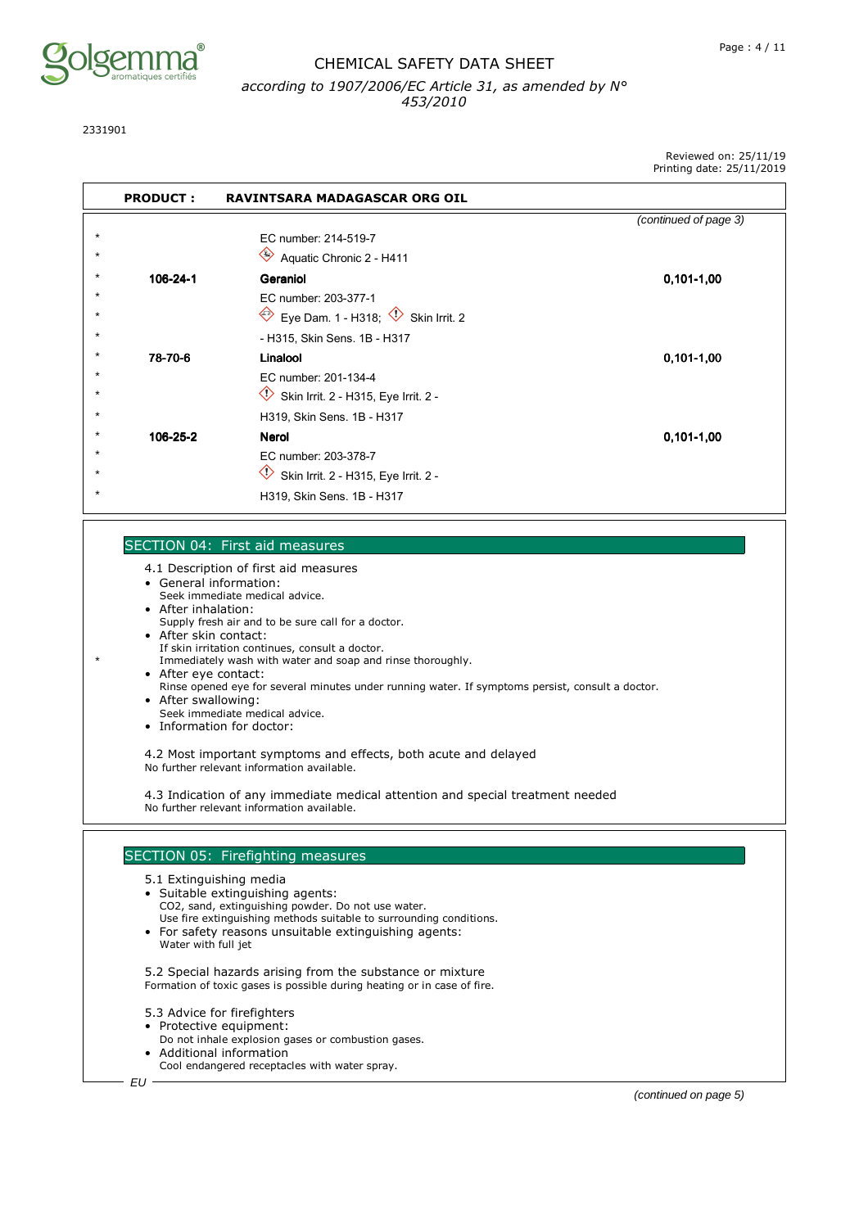

2331901

Reviewed on: 25/11/19 Printing date: 25/11/2019

|            | <b>PRODUCT:</b> | <b>RAVINTSARA MADAGASCAR ORG OIL</b>                                          |                       |
|------------|-----------------|-------------------------------------------------------------------------------|-----------------------|
|            |                 |                                                                               | (continued of page 3) |
| $\star$    |                 | EC number: 214-519-7                                                          |                       |
| $\star$    |                 | $\Leftrightarrow$<br>Aquatic Chronic 2 - H411                                 |                       |
| *          | 106-24-1        | Geraniol                                                                      | $0,101-1,00$          |
|            |                 | EC number: 203-377-1                                                          |                       |
|            |                 | Eye Dam. 1 - H318; $\overline{\mathbb{Q}}$ Skin Irrit. 2<br>$\Leftrightarrow$ |                       |
| $^{\star}$ |                 | - H315, Skin Sens. 1B - H317                                                  |                       |
|            | 78-70-6         | Linalool                                                                      | $0,101-1,00$          |
|            |                 | EC number: 201-134-4                                                          |                       |
|            |                 | ◇<br>Skin Irrit. 2 - H315, Eye Irrit. 2 -                                     |                       |
| $^{\star}$ |                 | H319, Skin Sens. 1B - H317                                                    |                       |
|            | 106-25-2        | Nerol                                                                         | $0,101-1,00$          |
|            |                 | EC number: 203-378-7                                                          |                       |
|            |                 | Skin Irrit. 2 - H315, Eye Irrit. 2 -                                          |                       |
|            |                 | H319, Skin Sens. 1B - H317                                                    |                       |

#### SECTION 04: First aid measures

- 4.1 Description of first aid measures
- General information:
- Seek immediate medical advice.
- After inhalation: Supply fresh air and to be sure call for a doctor.
- After skin contact: If skin irritation continues, consult a doctor.
- Immediately wash with water and soap and rinse thoroughly. • After eye contact:
- Rinse opened eye for several minutes under running water. If symptoms persist, consult a doctor.
- After swallowing:
- Seek immediate medical advice.
- Information for doctor:

4.2 Most important symptoms and effects, both acute and delayed No further relevant information available.

4.3 Indication of any immediate medical attention and special treatment needed No further relevant information available.

#### SECTION 05: Firefighting measures

- 5.1 Extinguishing media
- Suitable extinguishing agents: CO2, sand, extinguishing powder. Do not use water. Use fire extinguishing methods suitable to surrounding conditions.
- For safety reasons unsuitable extinguishing agents: Water with full jet

5.2 Special hazards arising from the substance or mixture Formation of toxic gases is possible during heating or in case of fire.

- 5.3 Advice for firefighters
- Protective equipment:
	- Do not inhale explosion gases or combustion gases.
- Additional information Cool endangered receptacles with water spray.

(continued on page 5)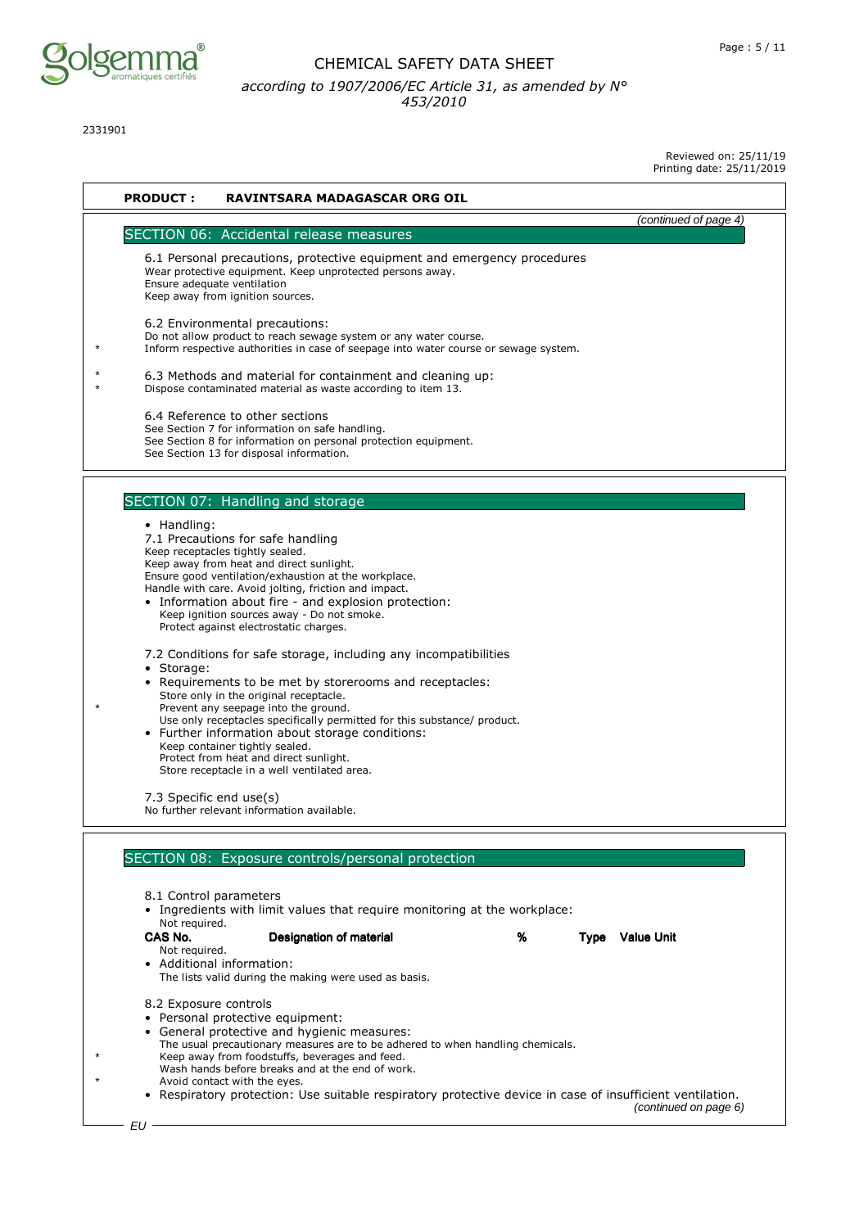

2331901

Reviewed on: 25/11/19

| Printing date: 25/11/2019 |  |
|---------------------------|--|
|---------------------------|--|

|                       |                                                                                                                                                          | <b>Filliting uate. ZJ/II/ZUIJ</b> |
|-----------------------|----------------------------------------------------------------------------------------------------------------------------------------------------------|-----------------------------------|
| <b>PRODUCT:</b>       | <b>RAVINTSARA MADAGASCAR ORG OIL</b>                                                                                                                     |                                   |
|                       |                                                                                                                                                          |                                   |
|                       | SECTION 06: Accidental release measures                                                                                                                  | (continued of page 4)             |
|                       |                                                                                                                                                          |                                   |
|                       | 6.1 Personal precautions, protective equipment and emergency procedures                                                                                  |                                   |
|                       | Wear protective equipment. Keep unprotected persons away.<br>Ensure adequate ventilation                                                                 |                                   |
|                       | Keep away from ignition sources.                                                                                                                         |                                   |
|                       |                                                                                                                                                          |                                   |
|                       | 6.2 Environmental precautions:                                                                                                                           |                                   |
|                       | Do not allow product to reach sewage system or any water course.<br>Inform respective authorities in case of seepage into water course or sewage system. |                                   |
|                       |                                                                                                                                                          |                                   |
|                       | 6.3 Methods and material for containment and cleaning up:                                                                                                |                                   |
|                       | Dispose contaminated material as waste according to item 13.                                                                                             |                                   |
|                       | 6.4 Reference to other sections                                                                                                                          |                                   |
|                       | See Section 7 for information on safe handling.                                                                                                          |                                   |
|                       | See Section 8 for information on personal protection equipment.                                                                                          |                                   |
|                       | See Section 13 for disposal information.                                                                                                                 |                                   |
|                       |                                                                                                                                                          |                                   |
|                       |                                                                                                                                                          |                                   |
|                       | SECTION 07: Handling and storage                                                                                                                         |                                   |
| • Handling:           |                                                                                                                                                          |                                   |
|                       | 7.1 Precautions for safe handling                                                                                                                        |                                   |
|                       | Keep receptacles tightly sealed.<br>Keep away from heat and direct sunlight.                                                                             |                                   |
|                       | Ensure good ventilation/exhaustion at the workplace.                                                                                                     |                                   |
|                       | Handle with care. Avoid jolting, friction and impact.                                                                                                    |                                   |
|                       | • Information about fire - and explosion protection:<br>Keep ignition sources away - Do not smoke.                                                       |                                   |
|                       | Protect against electrostatic charges.                                                                                                                   |                                   |
|                       |                                                                                                                                                          |                                   |
|                       | 7.2 Conditions for safe storage, including any incompatibilities                                                                                         |                                   |
| · Storage:            |                                                                                                                                                          |                                   |
|                       | • Requirements to be met by storerooms and receptacles:<br>Store only in the original receptacle.                                                        |                                   |
|                       | Prevent any seepage into the ground.                                                                                                                     |                                   |
|                       | Use only receptacles specifically permitted for this substance/ product.                                                                                 |                                   |
|                       | • Further information about storage conditions:<br>Keep container tightly sealed.                                                                        |                                   |
|                       | Protect from heat and direct sunlight.                                                                                                                   |                                   |
|                       | Store receptacle in a well ventilated area.                                                                                                              |                                   |
|                       | 7.3 Specific end use(s)                                                                                                                                  |                                   |
|                       | No further relevant information available.                                                                                                               |                                   |
|                       |                                                                                                                                                          |                                   |
|                       |                                                                                                                                                          |                                   |
|                       | SECTION 08: Exposure controls/personal protection                                                                                                        |                                   |
|                       |                                                                                                                                                          |                                   |
|                       | 8.1 Control parameters                                                                                                                                   |                                   |
|                       | • Ingredients with limit values that require monitoring at the workplace:                                                                                |                                   |
| Not required.         |                                                                                                                                                          |                                   |
| CAS No.               | Designation of material<br>%                                                                                                                             | <b>Type</b> Value Unit            |
| Not required.         | • Additional information:                                                                                                                                |                                   |
|                       | The lists valid during the making were used as basis.                                                                                                    |                                   |
|                       |                                                                                                                                                          |                                   |
| 8.2 Exposure controls |                                                                                                                                                          |                                   |
|                       | • Personal protective equipment:                                                                                                                         |                                   |
|                       | • General protective and hygienic measures:<br>The usual precautionary measures are to be adhered to when handling chemicals.                            |                                   |
|                       | Keep away from foodstuffs, beverages and feed.                                                                                                           |                                   |
|                       | Wash hands before breaks and at the end of work.                                                                                                         |                                   |
|                       | Avoid contact with the eyes.<br>• Respiratory protection: Use suitable respiratory protective device in case of insufficient ventilation.                |                                   |
|                       |                                                                                                                                                          | (continued on page 6)             |
| EU                    |                                                                                                                                                          |                                   |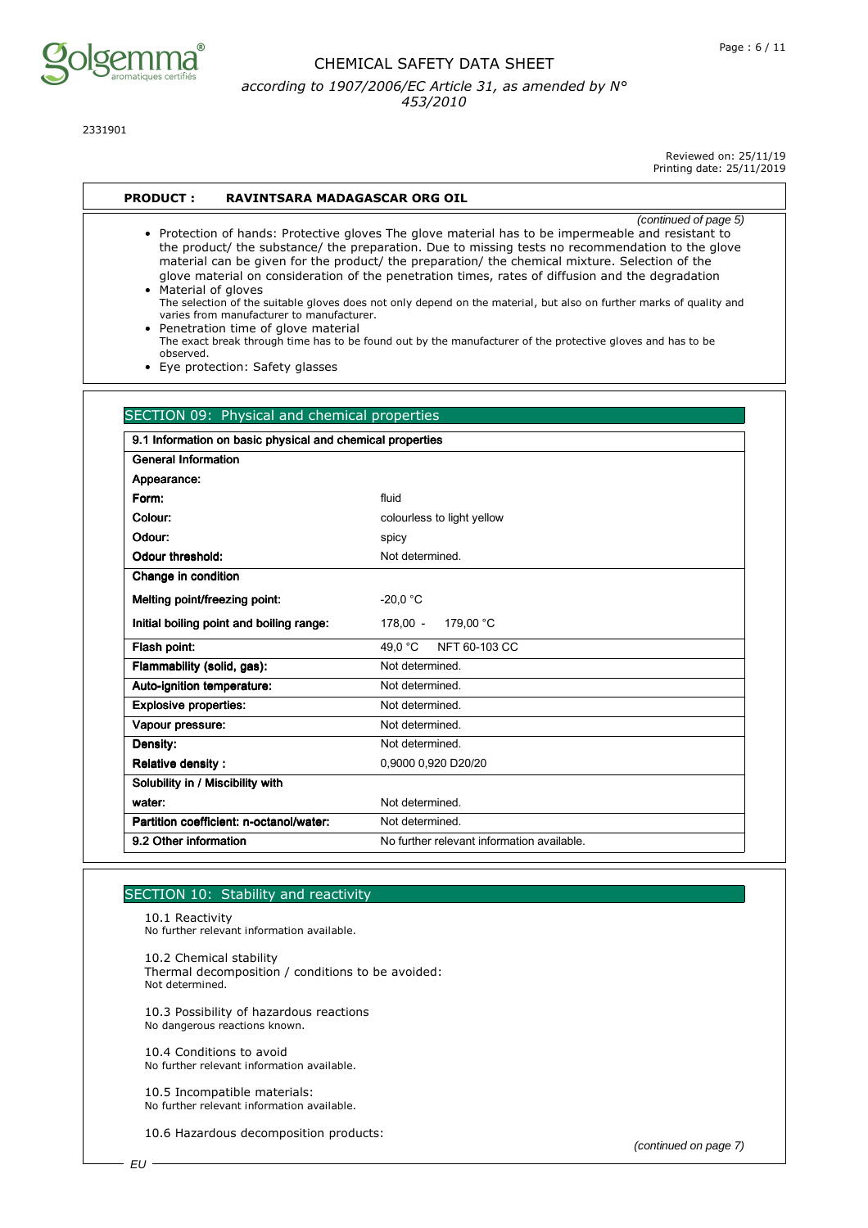

2331901

Reviewed on: 25/11/19 Printing date: 25/11/2019

#### **PRODUCT : RAVINTSARA MADAGASCAR ORG OIL**

(continued of page 5) • Protection of hands: Protective gloves The glove material has to be impermeable and resistant to the product/ the substance/ the preparation. Due to missing tests no recommendation to the glove material can be given for the product/ the preparation/ the chemical mixture. Selection of the glove material on consideration of the penetration times, rates of diffusion and the degradation • Material of gloves

The selection of the suitable gloves does not only depend on the material, but also on further marks of quality and varies from manufacturer to manufacturer.

• Penetration time of glove material The exact break through time has to be found out by the manufacturer of the protective gloves and has to be observed.

• Eye protection: Safety glasses

| <b>General Information</b>               |                                            |  |
|------------------------------------------|--------------------------------------------|--|
| Appearance:                              |                                            |  |
| Form:                                    | fluid                                      |  |
| Colour:                                  | colourless to light yellow                 |  |
| Odour:                                   | spicy                                      |  |
| Odour threshold:                         | Not determined                             |  |
| Change in condition                      |                                            |  |
| Melting point/freezing point:            | $-20.0 °C$                                 |  |
| Initial boiling point and boiling range: | $178.00 -$<br>179.00 °C                    |  |
| Flash point:                             | 49,0 °C<br>NFT 60-103 CC                   |  |
| Flammability (solid, gas):               | Not determined.                            |  |
| Auto-ignition temperature:               | Not determined.                            |  |
| <b>Explosive properties:</b>             | Not determined.                            |  |
| Vapour pressure:                         | Not determined                             |  |
| Density:                                 | Not determined.                            |  |
| <b>Relative density:</b>                 | 0,9000 0,920 D20/20                        |  |
| Solubility in / Miscibility with         |                                            |  |
| water:                                   | Not determined                             |  |
| Partition coefficient: n-octanol/water:  | Not determined.                            |  |
| 9.2 Other information                    | No further relevant information available. |  |

#### SECTION 10: Stability and reactivity

10.1 Reactivity No further relevant information available.

10.2 Chemical stability Thermal decomposition / conditions to be avoided: Not determined.

10.3 Possibility of hazardous reactions No dangerous reactions known.

10.4 Conditions to avoid No further relevant information available.

10.5 Incompatible materials: No further relevant information available.

10.6 Hazardous decomposition products: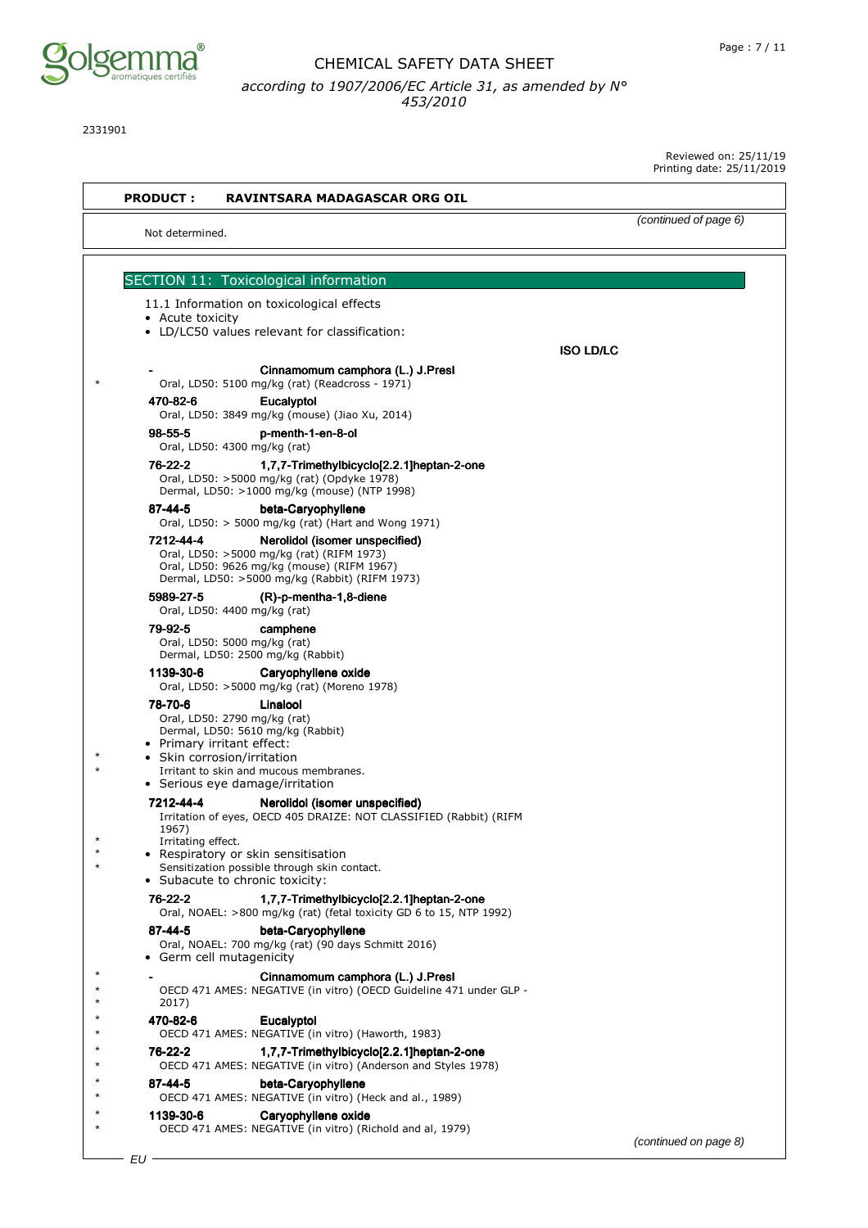

2331901

| <b>PRODUCT:</b>             | RAVINTSARA MADAGASCAR ORG OIL                                                                                                                                                                                           |                       |
|-----------------------------|-------------------------------------------------------------------------------------------------------------------------------------------------------------------------------------------------------------------------|-----------------------|
| Not determined.             |                                                                                                                                                                                                                         | (continued of page 6) |
|                             | SECTION 11: Toxicological information                                                                                                                                                                                   |                       |
|                             | 11.1 Information on toxicological effects                                                                                                                                                                               |                       |
| • Acute toxicity            |                                                                                                                                                                                                                         |                       |
|                             | • LD/LC50 values relevant for classification:                                                                                                                                                                           | <b>ISO LD/LC</b>      |
|                             | Cinnamomum camphora (L.) J.Presl                                                                                                                                                                                        |                       |
|                             | Oral, LD50: 5100 mg/kg (rat) (Readcross - 1971)                                                                                                                                                                         |                       |
| 470-82-6                    | Eucalyptol<br>Oral, LD50: 3849 mg/kg (mouse) (Jiao Xu, 2014)                                                                                                                                                            |                       |
| 98-55-5                     | p-menth-1-en-8-ol                                                                                                                                                                                                       |                       |
| 76-22-2                     | Oral, LD50: 4300 mg/kg (rat)<br>1,7,7-Trimethylbicyclo[2.2.1]heptan-2-one                                                                                                                                               |                       |
|                             | Oral, LD50: >5000 mg/kg (rat) (Opdyke 1978)<br>Dermal, LD50: >1000 mg/kg (mouse) (NTP 1998)                                                                                                                             |                       |
| 87-44-5                     | beta-Caryophyllene<br>Oral, LD50: > 5000 mg/kg (rat) (Hart and Wong 1971)                                                                                                                                               |                       |
| 7212-44-4                   | Nerolidol (isomer unspecified)<br>Oral, LD50: >5000 mg/kg (rat) (RIFM 1973)<br>Oral, LD50: 9626 mg/kg (mouse) (RIFM 1967)<br>Dermal, LD50: >5000 mg/kg (Rabbit) (RIFM 1973)                                             |                       |
| 5989-27-5                   | $(R)-p$ -mentha-1,8-diene<br>Oral, LD50: 4400 mg/kg (rat)                                                                                                                                                               |                       |
| 79-92-5                     | camphene<br>Oral, LD50: 5000 mg/kg (rat)<br>Dermal, LD50: 2500 mg/kg (Rabbit)                                                                                                                                           |                       |
| 1139-30-6                   | Caryophyllene oxide<br>Oral, LD50: >5000 mg/kg (rat) (Moreno 1978)                                                                                                                                                      |                       |
| 78-70-6                     | Linalool<br>Oral, LD50: 2790 mg/kg (rat)<br>Dermal, LD50: 5610 mg/kg (Rabbit)<br>• Primary irritant effect:<br>• Skin corrosion/irritation<br>Irritant to skin and mucous membranes.<br>• Serious eye damage/irritation |                       |
|                             | 7212-44-4 Nerolidol (isomer unspecified)<br>Irritation of eyes, OECD 405 DRAIZE: NOT CLASSIFIED (Rabbit) (RIFM                                                                                                          |                       |
| 1967)<br>Irritating effect. | • Respiratory or skin sensitisation<br>Sensitization possible through skin contact.<br>• Subacute to chronic toxicity:                                                                                                  |                       |
| 76-22-2                     | 1.7.7-Trimethylbicyclo[2.2.1]heptan-2-one<br>Oral, NOAEL: >800 mg/kg (rat) (fetal toxicity GD 6 to 15, NTP 1992)                                                                                                        |                       |
| 87-44-5                     | beta-Caryophyllene<br>Oral, NOAEL: 700 mg/kg (rat) (90 days Schmitt 2016)<br>Germ cell mutagenicity                                                                                                                     |                       |
| 2017)                       | Cinnamomum camphora (L.) J.Presl<br>OECD 471 AMES: NEGATIVE (in vitro) (OECD Guideline 471 under GLP -                                                                                                                  |                       |
| 470-82-6                    | Eucalyptol<br>OECD 471 AMES: NEGATIVE (in vitro) (Haworth, 1983)                                                                                                                                                        |                       |
| 76-22-2                     | 1,7,7-Trimethylbicyclo[2.2.1]heptan-2-one<br>OECD 471 AMES: NEGATIVE (in vitro) (Anderson and Styles 1978)                                                                                                              |                       |
| 87-44-5                     | beta-Caryophyllene<br>OECD 471 AMES: NEGATIVE (in vitro) (Heck and al., 1989)                                                                                                                                           |                       |
| 1139-30-6                   | Caryophyllene oxide                                                                                                                                                                                                     |                       |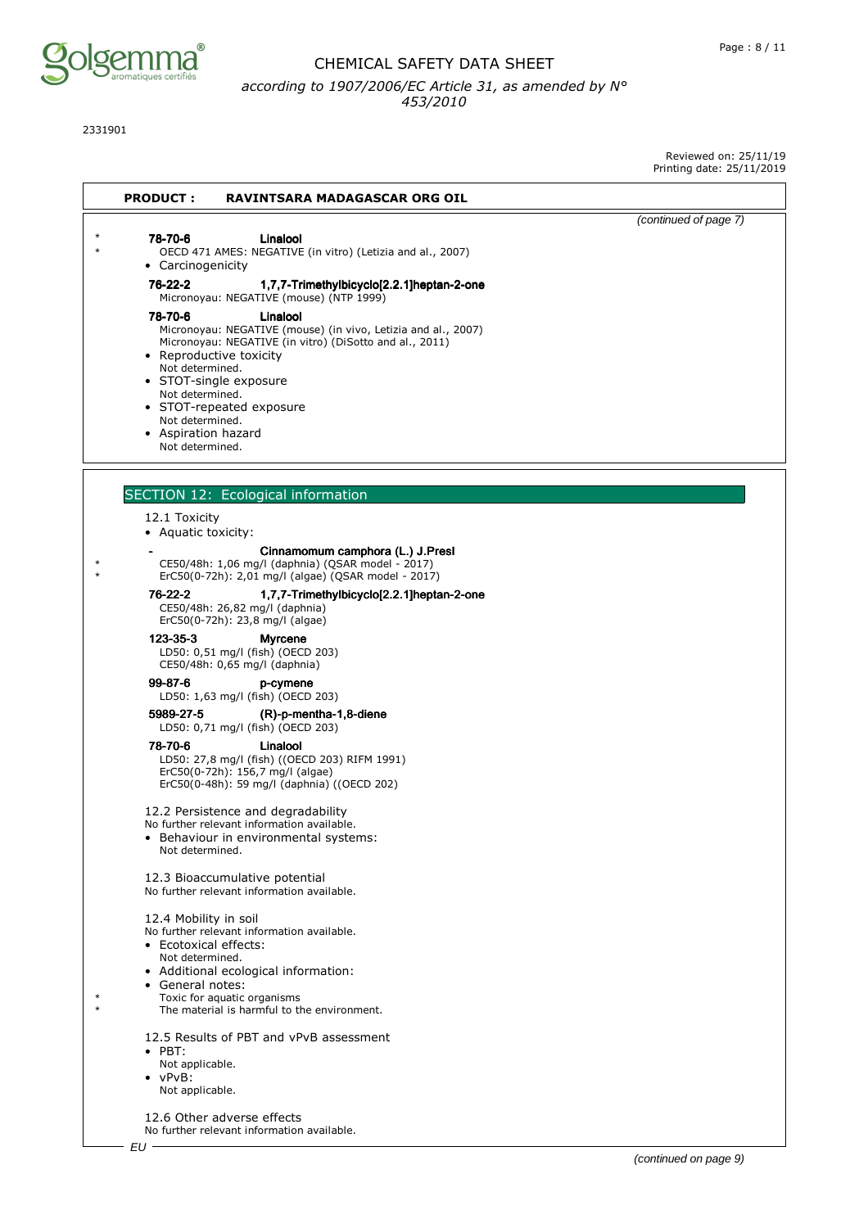

2331901

Reviewed on: 25/11/19 printing date: 25<br>2019

|                                                                                                                                                                                                                                                                                                                                                                                                                     | Printing date: 25/11/2 |
|---------------------------------------------------------------------------------------------------------------------------------------------------------------------------------------------------------------------------------------------------------------------------------------------------------------------------------------------------------------------------------------------------------------------|------------------------|
| <b>PRODUCT:</b><br><b>RAVINTSARA MADAGASCAR ORG OIL</b>                                                                                                                                                                                                                                                                                                                                                             |                        |
| 78-70-6<br>Linalool<br>OECD 471 AMES: NEGATIVE (in vitro) (Letizia and al., 2007)<br>• Carcinogenicity                                                                                                                                                                                                                                                                                                              | (continued of page 7)  |
| 76-22-2<br>1,7,7-Trimethylbicyclo[2.2.1]heptan-2-one<br>Micronoyau: NEGATIVE (mouse) (NTP 1999)<br>78-70-6<br>Linalool<br>Micronoyau: NEGATIVE (mouse) (in vivo, Letizia and al., 2007)<br>Micronoyau: NEGATIVE (in vitro) (DiSotto and al., 2011)<br>• Reproductive toxicity<br>Not determined.<br>• STOT-single exposure<br>Not determined.<br>• STOT-repeated exposure<br>Not determined.<br>• Aspiration hazard |                        |
| Not determined.                                                                                                                                                                                                                                                                                                                                                                                                     |                        |
| SECTION 12: Ecological information                                                                                                                                                                                                                                                                                                                                                                                  |                        |
| 12.1 Toxicity<br>• Aquatic toxicity:                                                                                                                                                                                                                                                                                                                                                                                |                        |
| Cinnamomum camphora (L.) J.Presl<br>CE50/48h: 1,06 mg/l (daphnia) (QSAR model - 2017)<br>ErC50(0-72h): 2,01 mg/l (algae) (QSAR model - 2017)                                                                                                                                                                                                                                                                        |                        |
| 76-22-2<br>1,7,7-Trimethylbicyclo[2.2.1]heptan-2-one<br>CE50/48h: 26,82 mg/l (daphnia)<br>ErC50(0-72h): 23,8 mg/l (algae)                                                                                                                                                                                                                                                                                           |                        |
| 123-35-3<br><b>Myrcene</b><br>LD50: 0,51 mg/l (fish) (OECD 203)<br>CE50/48h: 0,65 mg/l (daphnia)                                                                                                                                                                                                                                                                                                                    |                        |
| $99 - 87 - 6$<br>p-cymene<br>LD50: 1,63 mg/l (fish) (OECD 203)                                                                                                                                                                                                                                                                                                                                                      |                        |
| 5989-27-5<br>$(R)-p$ -mentha-1,8-diene<br>LD50: 0,71 mg/l (fish) (OECD 203)                                                                                                                                                                                                                                                                                                                                         |                        |
| 78-70-6<br>Linalool<br>LD50: 27,8 mg/l (fish) ((OECD 203) RIFM 1991)<br>ErC50(0-72h): 156,7 mg/l (algae)<br>ErC50(0-48h): 59 mg/l (daphnia) ((OECD 202)                                                                                                                                                                                                                                                             |                        |
| 12.2 Persistence and degradability<br>No further relevant information available.<br>• Behaviour in environmental systems:<br>Not determined.                                                                                                                                                                                                                                                                        |                        |
| 12.3 Bioaccumulative potential<br>No further relevant information available.                                                                                                                                                                                                                                                                                                                                        |                        |
| 12.4 Mobility in soil<br>No further relevant information available.<br>• Ecotoxical effects:<br>Not determined.<br>• Additional ecological information:<br>• General notes:<br>Toxic for aquatic organisms<br>The material is harmful to the environment.                                                                                                                                                           |                        |
| 12.5 Results of PBT and vPvB assessment<br>$\bullet$ PBT:<br>Not applicable.<br>$\bullet$ vPvB:<br>Not applicable.                                                                                                                                                                                                                                                                                                  |                        |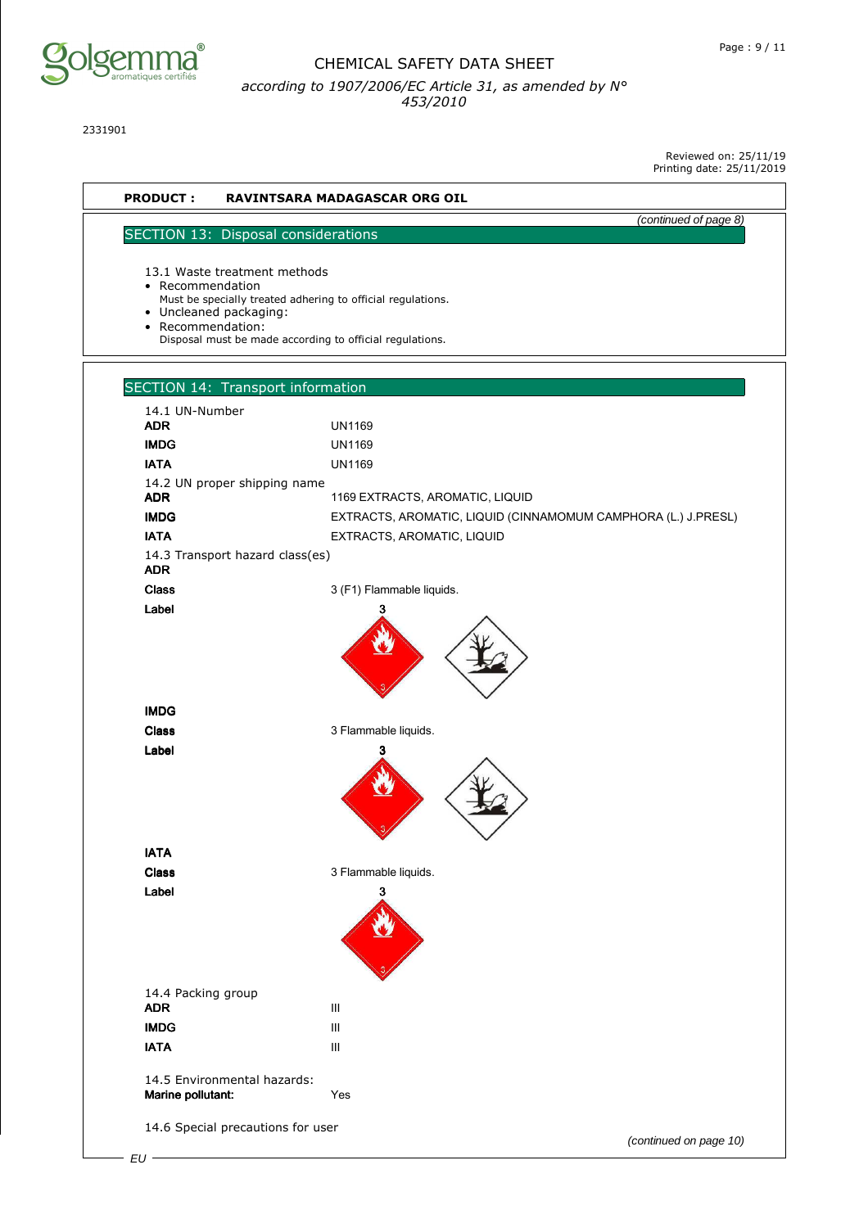

2331901

Reviewed on: 25/11/19



(continued on page 10)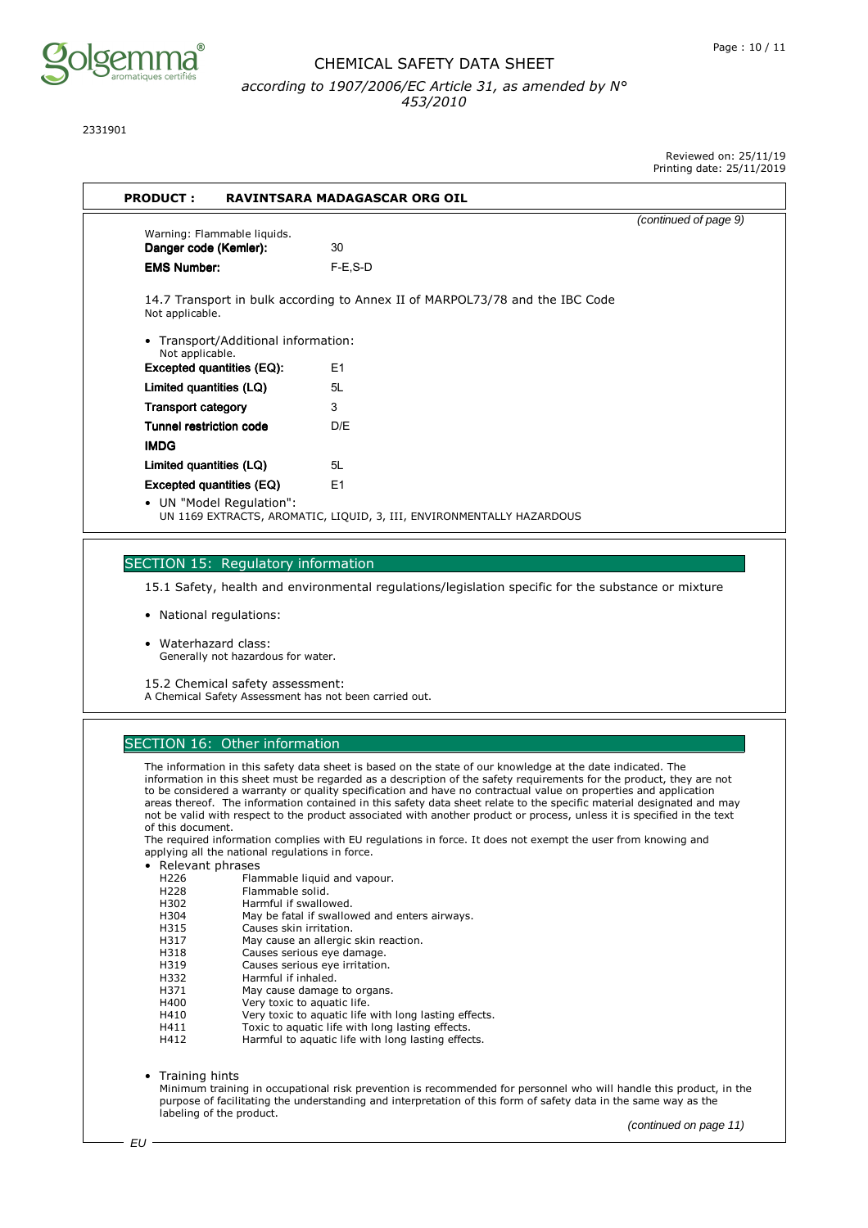

2331901

Reviewed on: 25/11/19 Printing date: 25/11/2019

|                                                      |                                                                              | (continued of page 9) |
|------------------------------------------------------|------------------------------------------------------------------------------|-----------------------|
| Warning: Flammable liquids.                          |                                                                              |                       |
| Danger code (Kemler):                                | 30                                                                           |                       |
| <b>EMS Number:</b>                                   | $F-E$ , $S-D$                                                                |                       |
| Not applicable.                                      | 14.7 Transport in bulk according to Annex II of MARPOL73/78 and the IBC Code |                       |
| Transport/Additional information:<br>Not applicable. |                                                                              |                       |
| <b>Excepted quantities (EQ):</b>                     | E1                                                                           |                       |
| Limited quantities (LQ)                              | 5L                                                                           |                       |
| <b>Transport category</b>                            | 3                                                                            |                       |
| <b>Tunnel restriction code</b>                       | D/F                                                                          |                       |
| <b>IMDG</b>                                          |                                                                              |                       |
| Limited quantities (LQ)                              | 5L                                                                           |                       |
| Excepted quantities (EQ)                             | E1                                                                           |                       |
| • UN "Model Regulation":                             | UN 1169 EXTRACTS, AROMATIC, LIQUID, 3, III, ENVIRONMENTALLY HAZARDOUS        |                       |

#### SECTION 15: Regulatory information

15.1 Safety, health and environmental regulations/legislation specific for the substance or mixture

- National regulations:
- Waterhazard class: Generally not hazardous for water.

15.2 Chemical safety assessment:

A Chemical Safety Assessment has not been carried out.

#### SECTION 16: Other information

The information in this safety data sheet is based on the state of our knowledge at the date indicated. The information in this sheet must be regarded as a description of the safety requirements for the product, they are not to be considered a warranty or quality specification and have no contractual value on properties and application areas thereof. The information contained in this safety data sheet relate to the specific material designated and may not be valid with respect to the product associated with another product or process, unless it is specified in the text of this document.

The required information complies with EU regulations in force. It does not exempt the user from knowing and applying all the national regulations in force.

- Relevant phrases
	- H226 Flammable liquid and vapour.
	- H228 Flammable solid.<br>H302 Harmful if swallo
	- H302 Harmful if swallowed.<br>H304 May be fatal if swallow
- May be fatal if swallowed and enters airways.
- H315 Causes skin irritation.<br>H317 May cause an allergic
- H317 May cause an allergic skin reaction.<br>H318 Causes serious eye damage.
- H318 Causes serious eye damage.<br>H319 Causes serious eye irritation
- H319 Causes serious eye irritation.<br>H332 Harmful if inhaled.
- Harmful if inhaled.<br>H371 May cause damage
- H371 May cause damage to organs.<br>H400 Very toxic to aquatic life.
- H400 Very toxic to aquatic life.<br>H410 Very toxic to aquatic life
- H410 Very toxic to aquatic life with long lasting effects.<br>H411 Toxic to aquatic life with long lasting effects.
- Toxic to aquatic life with long lasting effects.
- H412 Harmful to aquatic life with long lasting effects.

• Training hints

Minimum training in occupational risk prevention is recommended for personnel who will handle this product, in the purpose of facilitating the understanding and interpretation of this form of safety data in the same way as the labeling of the product.